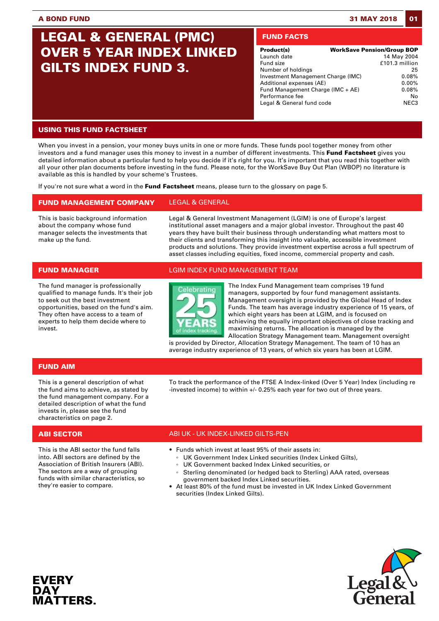# **LEGAL & GENERAL (PMC) OVER 5 YEAR INDEX LINKED GILTS INDEX FUND 3.**

# **FUND FACTS**

| Product(s)                         | <b>WorkSave Pension/Group BOP</b> |
|------------------------------------|-----------------------------------|
| Launch date                        | 14 May 2004                       |
| Fund size                          | £101.3 million                    |
| Number of holdings                 | 25                                |
| Investment Management Charge (IMC) | 0.08%                             |
| Additional expenses (AE)           | $0.00\%$                          |
| Fund Management Charge (IMC + AE)  | 0.08%                             |
| Performance fee                    | No                                |
| Legal & General fund code          | NFC <sub>3</sub>                  |

# **USING THIS FUND FACTSHEET**

When you invest in a pension, your money buys units in one or more funds. These funds pool together money from other investors and a fund manager uses this money to invest in a number of different investments. This **Fund Factsheet** gives you detailed information about a particular fund to help you decide if it's right for you. It's important that you read this together with all your other plan documents before investing in the fund. Please note, for the WorkSave Buy Out Plan (WBOP) no literature is available as this is handled by your scheme's Trustees.

If you're not sure what a word in the **Fund Factsheet** means, please turn to the glossary on page 5.

# **FUND MANAGEMENT COMPANY** LEGAL & GENERAL

This is basic background information about the company whose fund manager selects the investments that make up the fund.

Legal & General Investment Management (LGIM) is one of Europe's largest institutional asset managers and a major global investor. Throughout the past 40 years they have built their business through understanding what matters most to their clients and transforming this insight into valuable, accessible investment products and solutions. They provide investment expertise across a full spectrum of asset classes including equities, fixed income, commercial property and cash.

The fund manager is professionally qualified to manage funds. It's their job to seek out the best investment opportunities, based on the fund's aim. They often have access to a team of experts to help them decide where to invest.

## **FUND MANAGER** LGIM INDEX FUND MANAGEMENT TEAM



The Index Fund Management team comprises 19 fund managers, supported by four fund management assistants. Management oversight is provided by the Global Head of Index Funds. The team has average industry experience of 15 years, of which eight years has been at LGIM, and is focused on achieving the equally important objectives of close tracking and maximising returns. The allocation is managed by the Allocation Strategy Management team. Management oversight

is provided by Director, Allocation Strategy Management. The team of 10 has an average industry experience of 13 years, of which six years has been at LGIM.

To track the performance of the FTSE A Index-linked (Over 5 Year) Index (including re

-invested income) to within +/- 0.25% each year for two out of three years.

## **FUND AIM**

This is a general description of what the fund aims to achieve, as stated by the fund management company. For a detailed description of what the fund invests in, please see the fund characteristics on page 2.

This is the ABI sector the fund falls into. ABI sectors are defined by the Association of British Insurers (ABI). The sectors are a way of grouping funds with similar characteristics, so they're easier to compare.

# **ABI SECTOR** ABI UK - UK INDEX-LINKED GILTS-PEN

- Funds which invest at least 95% of their assets in:
	- UK Government Index Linked securities (Index Linked Gilts),
	- UK Government backed Index Linked securities, or
	- Sterling denominated (or hedged back to Sterling) AAA rated, overseas government backed Index Linked securities.
- At least 80% of the fund must be invested in UK Index Linked Government securities (Index Linked Gilts).



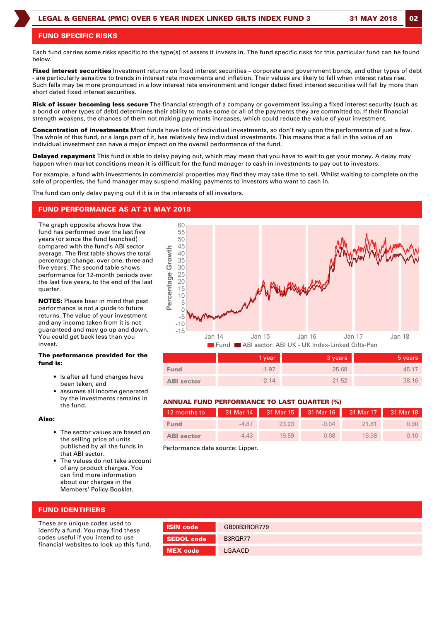### **FUND SPECIFIC RISKS**

Each fund carries some risks specific to the type(s) of assets it invests in. The fund specific risks for this particular fund can be found below.

**Fixed interest securities** Investment returns on fixed interest securities – corporate and government bonds, and other types of debt - are particularly sensitive to trends in interest rate movements and inflation. Their values are likely to fall when interest rates rise. Such falls may be more pronounced in a low interest rate environment and longer dated fixed interest securities will fall by more than short dated fixed interest securities.

**Risk of issuer becoming less secure** The financial strength of a company or government issuing a fixed interest security (such as a bond or other types of debt) determines their ability to make some or all of the payments they are committed to. If their financial strength weakens, the chances of them not making payments increases, which could reduce the value of your investment.

**Concentration of investments** Most funds have lots of individual investments, so don't rely upon the performance of just a few. The whole of this fund, or a large part of it, has relatively few individual investments. This means that a fall in the value of an individual investment can have a major impact on the overall performance of the fund.

**Delayed repayment** This fund is able to delay paying out, which may mean that you have to wait to get your money. A delay may happen when market conditions mean it is difficult for the fund manager to cash in investments to pay out to investors.

For example, a fund with investments in commercial properties may find they may take time to sell. Whilst waiting to complete on the sale of properties, the fund manager may suspend making payments to investors who want to cash in.

The fund can only delay paying out if it is in the interests of all investors.

### **FUND PERFORMANCE AS AT 31 MAY 2018**

The graph opposite shows how the fund has performed over the last five years (or since the fund launched) compared with the fund's ABI sector average. The first table shows the total percentage change, over one, three and five years. The second table shows performance for 12-month periods over the last five years, to the end of the last quarter.

**NOTES:** Please bear in mind that past performance is not a guide to future returns. The value of your investment and any income taken from it is not guaranteed and may go up and down. You could get back less than you invest.

#### **The performance provided for the fund is:**

- Is after all fund charges have been taken, and
- assumes all income generated by the investments remains in the fund.

#### **Also:**

- The sector values are based on the selling price of units published by all the funds in that ABI sector.
- The values do not take account of any product charges. You can find more information about our charges in the Members' Policy Booklet.



|                   | 1 year  | 3 years | 5 years |
|-------------------|---------|---------|---------|
| <b>Fund</b>       | $-1.97$ | 25.68   | 45.17   |
| <b>ABI</b> sector | $-2.14$ | 21.52   | 38.16   |

### **ANNUAL FUND PERFORMANCE TO LAST QUARTER (%)**

| 12 months to      |         |       |         | 31 Mar 14 31 Mar 15 31 Mar 16 31 Mar 17 31 Mar 18 |      |
|-------------------|---------|-------|---------|---------------------------------------------------|------|
| <b>Fund</b>       | $-4.87$ | 23.23 | $-0.04$ | 21.81                                             | 0.90 |
| <b>ABI</b> sector | $-4.43$ | 19.59 | 0.08    | 19.38                                             | 0.10 |

Performance data source: Lipper.

| <b>FUND IDENTIFIERS</b> |  |  |  |  |  |  |
|-------------------------|--|--|--|--|--|--|
|-------------------------|--|--|--|--|--|--|

These are unique codes used to identify a fund. You may find these codes useful if you intend to use financial websites to look up this fund.

| <b>ISIN code</b>  | GB00B3RQR779 |
|-------------------|--------------|
| <b>SEDOL</b> code | B3ROR77      |
| <b>MEX</b> code   | LGAACD       |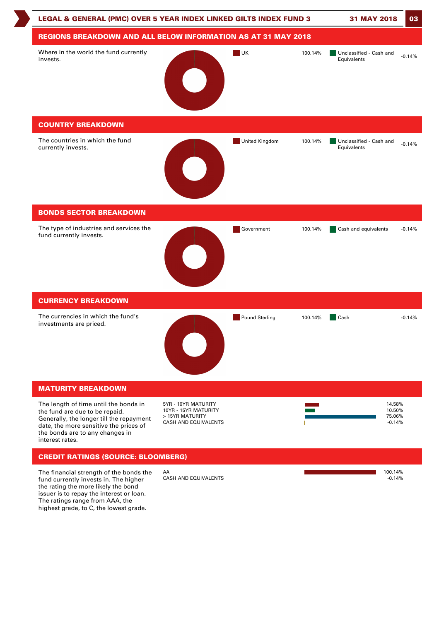

The financial strength of the bonds the fund currently invests in. The higher the rating the more likely the bond issuer is to repay the interest or loan. The ratings range from AAA, the highest grade, to C, the lowest grade.

 $\mathsf{AA}$  . The contract of the contract of the contract of the contract of the contract of the contract of the contract of the contract of the contract of the contract of the contract of the contract of the contract of th CASH AND EQUIVALENTS **AND EQUIVALENTS CASH AND EQUIVALENTS**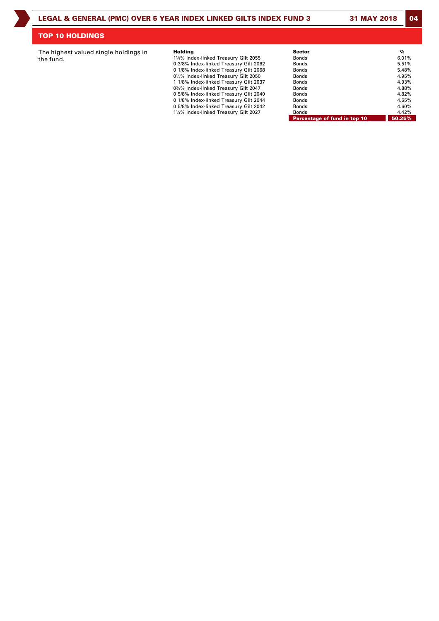# **TOP 10 HOLDINGS**

The highest valued single holdings in the fund.

| Holding                                | <b>Sector</b>                | %      |
|----------------------------------------|------------------------------|--------|
| 1¼% Index-linked Treasury Gilt 2055    | Bonds                        | 6.01%  |
| 0 3/8% Index-linked Treasury Gilt 2062 | Bonds                        | 5.51%  |
| 0 1/8% Index-linked Treasury Gilt 2068 | Bonds                        | 5.48%  |
| 01/2% Index-linked Treasury Gilt 2050  | Bonds                        | 4.95%  |
| 1 1/8% Index-linked Treasury Gilt 2037 | <b>Bonds</b>                 | 4.93%  |
| 0¾% Index-linked Treasury Gilt 2047    | Bonds                        | 4.88%  |
| 0 5/8% Index-linked Treasury Gilt 2040 | <b>Bonds</b>                 | 4.82%  |
| 0 1/8% Index-linked Treasury Gilt 2044 | Bonds                        | 4.65%  |
| 0 5/8% Index-linked Treasury Gilt 2042 | <b>Bonds</b>                 | 4.60%  |
| 1¼% Index-linked Treasury Gilt 2027    | <b>Bonds</b>                 | 4.42%  |
|                                        | Percentage of fund in top 10 | 50.25% |